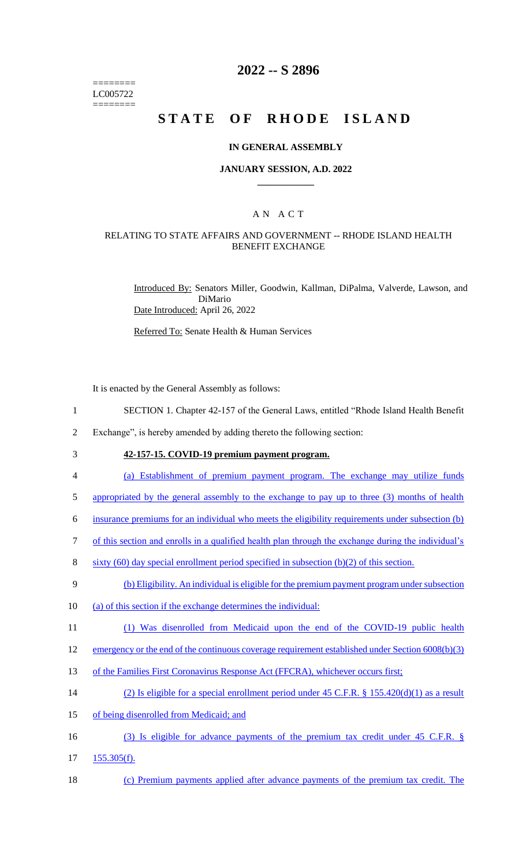======== LC005722 ========

# **2022 -- S 2896**

# **STATE OF RHODE ISLAND**

#### **IN GENERAL ASSEMBLY**

#### **JANUARY SESSION, A.D. 2022 \_\_\_\_\_\_\_\_\_\_\_\_**

## A N A C T

#### RELATING TO STATE AFFAIRS AND GOVERNMENT -- RHODE ISLAND HEALTH BENEFIT EXCHANGE

Introduced By: Senators Miller, Goodwin, Kallman, DiPalma, Valverde, Lawson, and DiMario Date Introduced: April 26, 2022

Referred To: Senate Health & Human Services

It is enacted by the General Assembly as follows:

- 1 SECTION 1. Chapter 42-157 of the General Laws, entitled "Rhode Island Health Benefit
- 2 Exchange", is hereby amended by adding thereto the following section:
- 

# 3 **42-157-15. COVID-19 premium payment program.**

- 4 (a) Establishment of premium payment program. The exchange may utilize funds
- 5 appropriated by the general assembly to the exchange to pay up to three (3) months of health

6 insurance premiums for an individual who meets the eligibility requirements under subsection (b)

- 7 of this section and enrolls in a qualified health plan through the exchange during the individual's
- 8 sixty (60) day special enrollment period specified in subsection (b)(2) of this section.
- 9 (b) Eligibility. An individual is eligible for the premium payment program under subsection
- 10 (a) of this section if the exchange determines the individual:
- 11 (1) Was disenrolled from Medicaid upon the end of the COVID-19 public health

#### 12 emergency or the end of the continuous coverage requirement established under Section 6008(b)(3)

- 13 of the Families First Coronavirus Response Act (FFCRA), whichever occurs first;
- 14 (2) Is eligible for a special enrollment period under 45 C.F.R. § 155.420(d)(1) as a result
- 15 of being disenrolled from Medicaid; and
- 16 (3) Is eligible for advance payments of the premium tax credit under 45 C.F.R. §
- 17 155.305(f).
- 18 (c) Premium payments applied after advance payments of the premium tax credit. The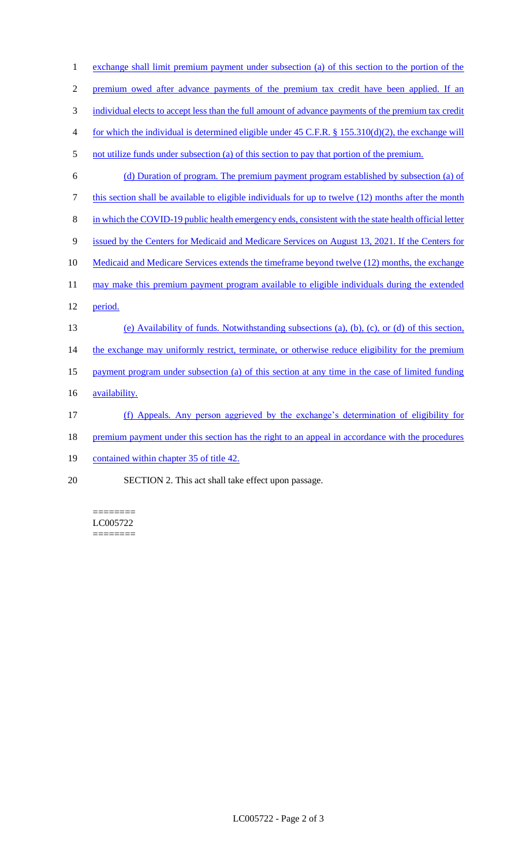1 exchange shall limit premium payment under subsection (a) of this section to the portion of the 2 premium owed after advance payments of the premium tax credit have been applied. If an 3 individual elects to accept less than the full amount of advance payments of the premium tax credit 4 for which the individual is determined eligible under 45 C.F.R. § 155.310(d)(2), the exchange will 5 not utilize funds under subsection (a) of this section to pay that portion of the premium. 6 (d) Duration of program. The premium payment program established by subsection (a) of 7 this section shall be available to eligible individuals for up to twelve (12) months after the month 8 in which the COVID-19 public health emergency ends, consistent with the state health official letter 9 issued by the Centers for Medicaid and Medicare Services on August 13, 2021. If the Centers for 10 Medicaid and Medicare Services extends the timeframe beyond twelve (12) months, the exchange 11 may make this premium payment program available to eligible individuals during the extended 12 period. 13 (e) Availability of funds. Notwithstanding subsections (a), (b), (c), or (d) of this section, 14 the exchange may uniformly restrict, terminate, or otherwise reduce eligibility for the premium 15 payment program under subsection (a) of this section at any time in the case of limited funding 16 **availability**. 17 (f) Appeals. Any person aggrieved by the exchange's determination of eligibility for 18 premium payment under this section has the right to an appeal in accordance with the procedures 19 contained within chapter 35 of title 42. 20 SECTION 2. This act shall take effect upon passage.

======== LC005722 ========